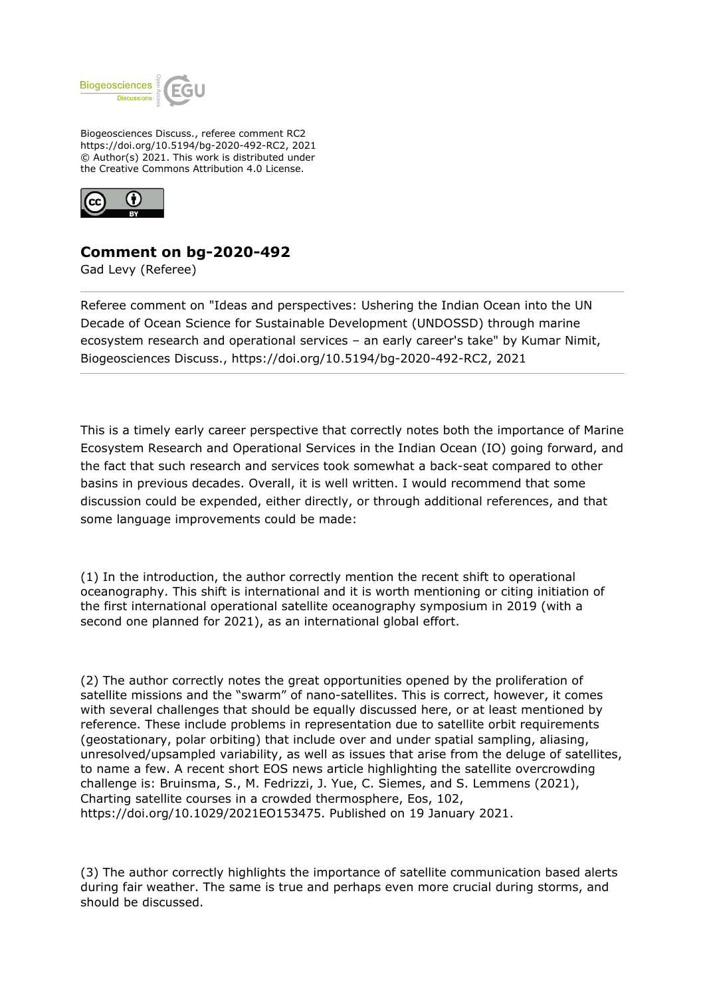

Biogeosciences Discuss., referee comment RC2 https://doi.org/10.5194/bg-2020-492-RC2, 2021 © Author(s) 2021. This work is distributed under the Creative Commons Attribution 4.0 License.



## **Comment on bg-2020-492**

Gad Levy (Referee)

Referee comment on "Ideas and perspectives: Ushering the Indian Ocean into the UN Decade of Ocean Science for Sustainable Development (UNDOSSD) through marine ecosystem research and operational services – an early career's take" by Kumar Nimit, Biogeosciences Discuss., https://doi.org/10.5194/bg-2020-492-RC2, 2021

This is a timely early career perspective that correctly notes both the importance of Marine Ecosystem Research and Operational Services in the Indian Ocean (IO) going forward, and the fact that such research and services took somewhat a back-seat compared to other basins in previous decades. Overall, it is well written. I would recommend that some discussion could be expended, either directly, or through additional references, and that some language improvements could be made:

(1) In the introduction, the author correctly mention the recent shift to operational oceanography. This shift is international and it is worth mentioning or citing initiation of the first international operational satellite oceanography symposium in 2019 (with a second one planned for 2021), as an international global effort.

(2) The author correctly notes the great opportunities opened by the proliferation of satellite missions and the "swarm" of nano-satellites. This is correct, however, it comes with several challenges that should be equally discussed here, or at least mentioned by reference. These include problems in representation due to satellite orbit requirements (geostationary, polar orbiting) that include over and under spatial sampling, aliasing, unresolved/upsampled variability, as well as issues that arise from the deluge of satellites, to name a few. A recent short EOS news article highlighting the satellite overcrowding challenge is: Bruinsma, S., M. Fedrizzi, J. Yue, C. Siemes, and S. Lemmens (2021), Charting satellite courses in a crowded thermosphere, Eos, 102, https://doi.org/10.1029/2021EO153475. Published on 19 January 2021.

(3) The author correctly highlights the importance of satellite communication based alerts during fair weather. The same is true and perhaps even more crucial during storms, and should be discussed.